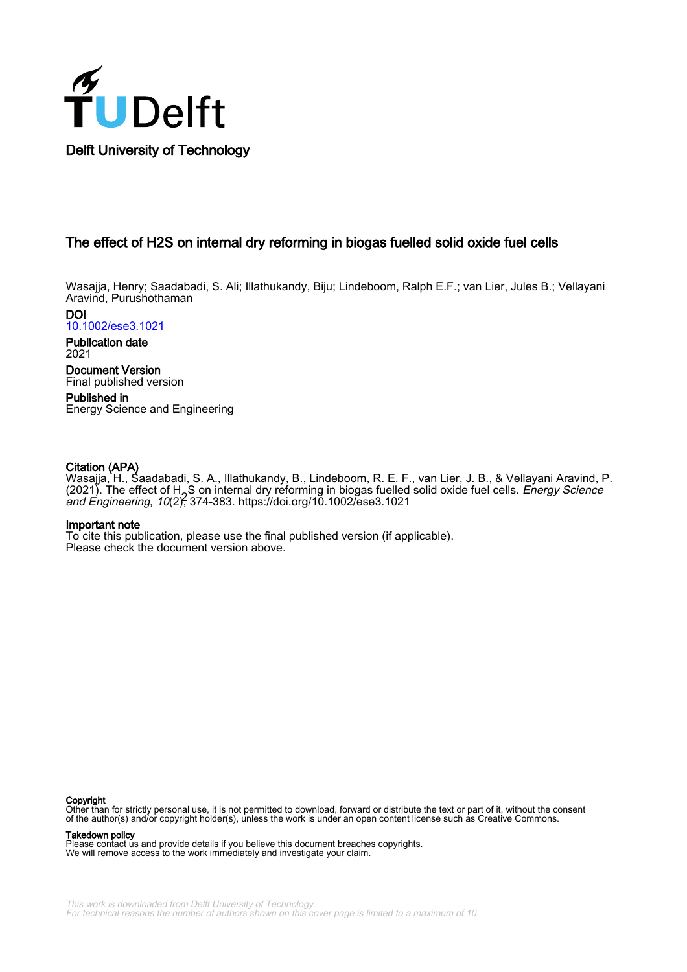

# The effect of H2S on internal dry reforming in biogas fuelled solid oxide fuel cells

Wasajja, Henry; Saadabadi, S. Ali; Illathukandy, Biju; Lindeboom, Ralph E.F.; van Lier, Jules B.; Vellayani Aravind, Purushothaman

DOI [10.1002/ese3.1021](https://doi.org/10.1002/ese3.1021)

Publication date 2021

Document Version Final published version

Published in Energy Science and Engineering

# Citation (APA)

Wasajja, H., Saadabadi, S. A., Illathukandy, B., Lindeboom, R. E. F., van Lier, J. B., & Vellayani Aravind, P. (2021). The effect of H<sub>2</sub>S on internal dry reforming in biogas fuelled solid oxide fuel cells. *Energy Science*<br>and Engineering, 10(2)<del>C</del> 374-383, https://doi.org/10.1002/ese3.1021 and Engineering, 10(2), 374-383.<https://doi.org/10.1002/ese3.1021>

### Important note

To cite this publication, please use the final published version (if applicable). Please check the document version above.

#### **Copyright**

Other than for strictly personal use, it is not permitted to download, forward or distribute the text or part of it, without the consent of the author(s) and/or copyright holder(s), unless the work is under an open content license such as Creative Commons.

#### Takedown policy

Please contact us and provide details if you believe this document breaches copyrights. We will remove access to the work immediately and investigate your claim.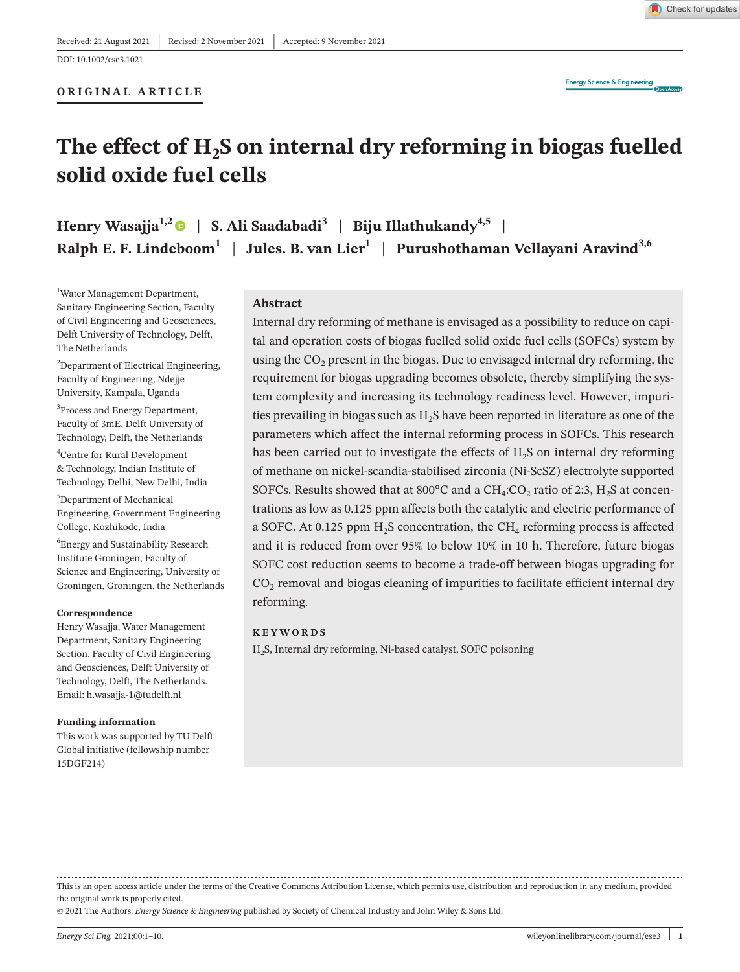### **ORIGINAL ARTICLE**

Check for updates

# The effect of H<sub>2</sub>S on internal dry reforming in biogas fuelled **solid oxide fuel cells**

**Henry Wasajja**<sup>1,2</sup> | **S. Ali Saadabadi**<sup>3</sup> | **Biju Illathukandy**<sup>4,5</sup> | **Ralph E. F. Lindeboom<sup>1</sup> | Jules. B. van Lier<sup>1</sup> | Purushothaman Vellayani Aravind<sup>3,6</sup>** 

1 Water Management Department, Sanitary Engineering Section, Faculty of Civil Engineering and Geosciences, Delft University of Technology, Delft, The Netherlands

<sup>2</sup>Department of Electrical Engineering, Faculty of Engineering, Ndejje University, Kampala, Uganda

<sup>3</sup>Process and Energy Department, Faculty of 3mE, Delft University of Technology, Delft, the Netherlands

4 Centre for Rural Development & Technology, Indian Institute of Technology Delhi, New Delhi, India

5 Department of Mechanical Engineering, Government Engineering College, Kozhikode, India

6 Energy and Sustainability Research Institute Groningen, Faculty of Science and Engineering, University of Groningen, Groningen, the Netherlands

#### **Correspondence**

Henry Wasajja, Water Management Department, Sanitary Engineering Section, Faculty of Civil Engineering and Geosciences, Delft University of Technology, Delft, The Netherlands. Email: [h.wasajja-1@tudelft.nl](mailto:h.wasajja-1@tudelft.nl)

#### **Funding information**

This work was supported by TU Delft Global initiative (fellowship number 15DGF214)

## **Abstract**

Internal dry reforming of methane is envisaged as a possibility to reduce on capital and operation costs of biogas fuelled solid oxide fuel cells (SOFCs) system by using the  $CO<sub>2</sub>$  present in the biogas. Due to envisaged internal dry reforming, the requirement for biogas upgrading becomes obsolete, thereby simplifying the system complexity and increasing its technology readiness level. However, impurities prevailing in biogas such as  $H_2S$  have been reported in literature as one of the parameters which affect the internal reforming process in SOFCs. This research has been carried out to investigate the effects of  $H<sub>2</sub>S$  on internal dry reforming of methane on nickel-scandia-stabilised zirconia (Ni-ScSZ) electrolyte supported SOFCs. Results showed that at 800°C and a  $CH_4:CO_2$  ratio of 2:3,  $H_2S$  at concentrations as low as 0.125 ppm affects both the catalytic and electric performance of a SOFC. At 0.125 ppm  $H_2S$  concentration, the CH<sub>4</sub> reforming process is affected and it is reduced from over 95% to below 10% in 10 h. Therefore, future biogas SOFC cost reduction seems to become a trade-off between biogas upgrading for  $CO<sub>2</sub>$  removal and biogas cleaning of impurities to facilitate efficient internal dry reforming.

## **KEYWORDS**

H2S, Internal dry reforming, Ni-based catalyst, SOFC poisoning

© 2021 The Authors. *Energy Science & Engineering* published by Society of Chemical Industry and John Wiley & Sons Ltd.

This is an open access article under the terms of the [Creative Commons Attribution](http://creativecommons.org/licenses/by/4.0/) License, which permits use, distribution and reproduction in any medium, provided the original work is properly cited.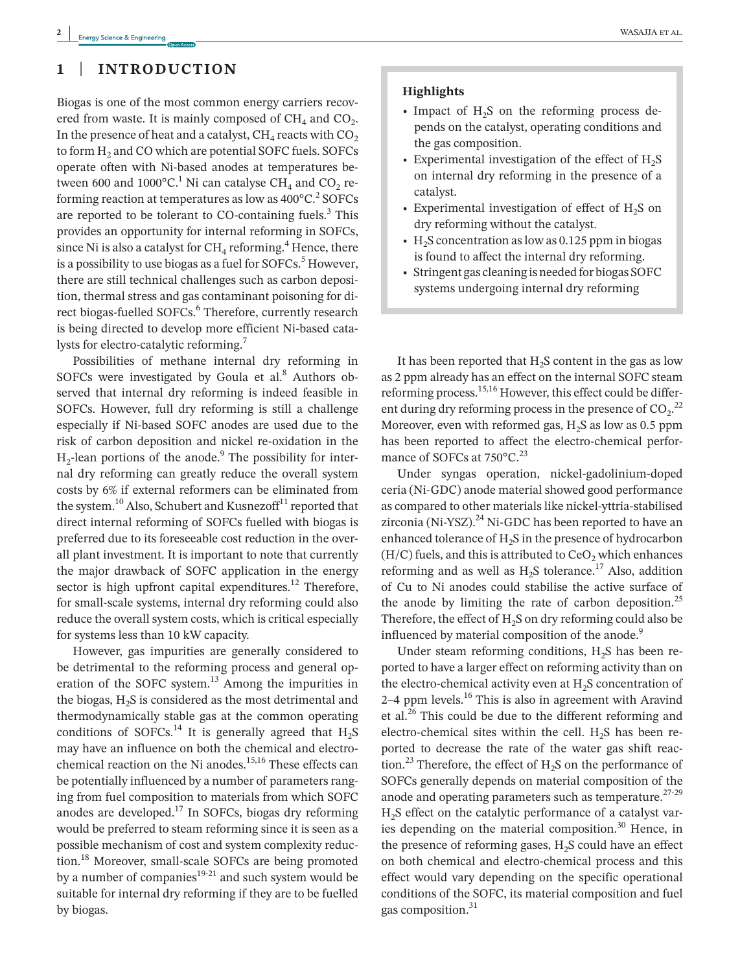# **1** | **INTRODUCTION**

Biogas is one of the most common energy carriers recovered from waste. It is mainly composed of  $CH<sub>4</sub>$  and  $CO<sub>2</sub>$ . In the presence of heat and a catalyst,  $CH<sub>4</sub>$  reacts with  $CO<sub>2</sub>$ to form H<sub>2</sub> and CO which are potential SOFC fuels. SOFCs operate often with Ni-based anodes at temperatures between 600 and  $1000^{\circ}$ C.<sup>1</sup> Ni can catalyse CH<sub>4</sub> and CO<sub>2</sub> reforming reaction at temperatures as low as  $400^{\circ}$ C.<sup>2</sup> SOFCs are reported to be tolerant to  $CO$ -containing fuels. $3$  This provides an opportunity for internal reforming in SOFCs, since Ni is also a catalyst for  $\rm CH_{4}$  reforming.<sup>4</sup> Hence, there is a possibility to use biogas as a fuel for SOFCs.<sup>5</sup> However, there are still technical challenges such as carbon deposition, thermal stress and gas contaminant poisoning for direct biogas-fuelled SOFCs.<sup>6</sup> Therefore, currently research is being directed to develop more efficient Ni-based catalysts for electro-catalytic reforming.<sup>7</sup>

Possibilities of methane internal dry reforming in SOFCs were investigated by Goula et al.<sup>8</sup> Authors observed that internal dry reforming is indeed feasible in SOFCs. However, full dry reforming is still a challenge especially if Ni-based SOFC anodes are used due to the risk of carbon deposition and nickel re-oxidation in the  $H_2$ -lean portions of the anode.<sup>9</sup> The possibility for internal dry reforming can greatly reduce the overall system costs by 6% if external reformers can be eliminated from the system.<sup>10</sup> Also, Schubert and Kusnezoff<sup>11</sup> reported that direct internal reforming of SOFCs fuelled with biogas is preferred due to its foreseeable cost reduction in the overall plant investment. It is important to note that currently the major drawback of SOFC application in the energy sector is high upfront capital expenditures. $12$  Therefore, for small-scale systems, internal dry reforming could also reduce the overall system costs, which is critical especially for systems less than 10 kW capacity.

However, gas impurities are generally considered to be detrimental to the reforming process and general operation of the SOFC system.<sup>13</sup> Among the impurities in the biogas,  $H_2S$  is considered as the most detrimental and thermodynamically stable gas at the common operating conditions of SOFCs.<sup>14</sup> It is generally agreed that  $H_2S$ may have an influence on both the chemical and electrochemical reaction on the Ni anodes.<sup>15,16</sup> These effects can be potentially influenced by a number of parameters ranging from fuel composition to materials from which SOFC anodes are developed. $17$  In SOFCs, biogas dry reforming would be preferred to steam reforming since it is seen as a possible mechanism of cost and system complexity reduction.18 Moreover, small-scale SOFCs are being promoted by a number of companies $19-21$  and such system would be suitable for internal dry reforming if they are to be fuelled by biogas.

#### **Highlights**

- Impact of  $H_2S$  on the reforming process depends on the catalyst, operating conditions and the gas composition.
- Experimental investigation of the effect of  $H_2S$ on internal dry reforming in the presence of a catalyst.
- Experimental investigation of effect of  $H<sub>2</sub>S$  on dry reforming without the catalyst.
- $H<sub>2</sub>S$  concentration as low as 0.125 ppm in biogas is found to affect the internal dry reforming.
- Stringent gas cleaning is needed for biogas SOFC systems undergoing internal dry reforming

It has been reported that  $H<sub>2</sub>S$  content in the gas as low as 2 ppm already has an effect on the internal SOFC steam reforming process.15,16 However, this effect could be different during dry reforming process in the presence of  $CO_2$ <sup>22</sup> Moreover, even with reformed gas,  $H_2S$  as low as 0.5 ppm has been reported to affect the electro-chemical performance of SOFCs at  $750^{\circ}$ C.<sup>23</sup>

Under syngas operation, nickel-gadolinium-doped ceria (Ni-GDC) anode material showed good performance as compared to other materials like nickel-yttria-stabilised zirconia (Ni-YSZ).<sup>24</sup> Ni-GDC has been reported to have an enhanced tolerance of  $H_2S$  in the presence of hydrocarbon  $(H/C)$  fuels, and this is attributed to  $CeO<sub>2</sub>$  which enhances reforming and as well as  $H_2S$  tolerance.<sup>17</sup> Also, addition of Cu to Ni anodes could stabilise the active surface of the anode by limiting the rate of carbon deposition.<sup>25</sup> Therefore, the effect of  $H_2S$  on dry reforming could also be influenced by material composition of the anode.<sup>9</sup>

Under steam reforming conditions,  $H<sub>2</sub>S$  has been reported to have a larger effect on reforming activity than on the electro-chemical activity even at  $H_2S$  concentration of 2–4 ppm levels.16 This is also in agreement with Aravind et al.<sup>26</sup> This could be due to the different reforming and electro-chemical sites within the cell.  $H<sub>2</sub>S$  has been reported to decrease the rate of the water gas shift reaction.<sup>23</sup> Therefore, the effect of  $H_2S$  on the performance of SOFCs generally depends on material composition of the anode and operating parameters such as temperature.<sup>27-29</sup> H2S effect on the catalytic performance of a catalyst varies depending on the material composition. $30$  Hence, in the presence of reforming gases,  $H_2S$  could have an effect on both chemical and electro-chemical process and this effect would vary depending on the specific operational conditions of the SOFC, its material composition and fuel gas composition.<sup>31</sup>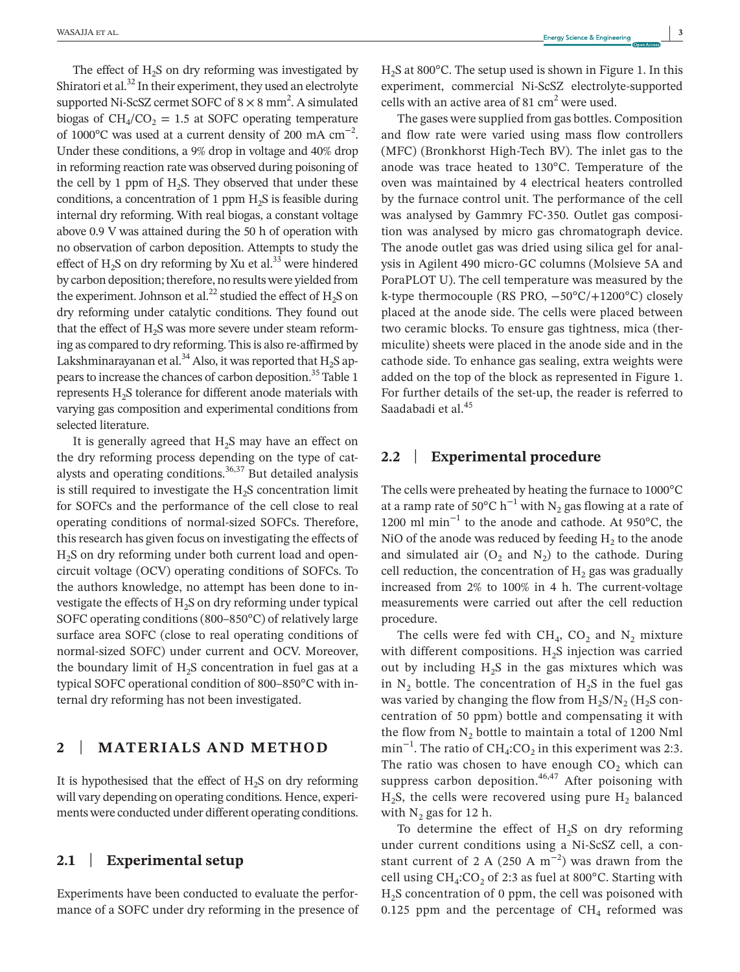The effect of  $H<sub>2</sub>S$  on dry reforming was investigated by Shiratori et al.<sup>32</sup> In their experiment, they used an electrolyte supported Ni-ScSZ cermet SOFC of  $8 \times 8$  mm<sup>2</sup>. A simulated biogas of  $CH<sub>4</sub>/CO<sub>2</sub> = 1.5$  at SOFC operating temperature of 1000 $^{\circ}$ C was used at a current density of 200 mA cm<sup>-2</sup>. Under these conditions, a 9% drop in voltage and 40% drop in reforming reaction rate was observed during poisoning of the cell by 1 ppm of  $H_2S$ . They observed that under these conditions, a concentration of 1 ppm  $H<sub>2</sub>S$  is feasible during internal dry reforming. With real biogas, a constant voltage above 0.9 V was attained during the 50 h of operation with no observation of carbon deposition. Attempts to study the effect of  $H_2$ S on dry reforming by Xu et al.<sup>33</sup> were hindered by carbon deposition; therefore, no results were yielded from the experiment. Johnson et al.<sup>22</sup> studied the effect of  $H_2S$  on dry reforming under catalytic conditions. They found out that the effect of H<sub>2</sub>S was more severe under steam reforming as compared to dry reforming. This is also re-affirmed by Lakshminarayanan et al.<sup>34</sup> Also, it was reported that  $H_2S$  appears to increase the chances of carbon deposition.<sup>35</sup> Table 1 represents  $H<sub>2</sub>S$  tolerance for different anode materials with varying gas composition and experimental conditions from selected literature.

It is generally agreed that  $H_2S$  may have an effect on the dry reforming process depending on the type of catalysts and operating conditions. $36,37$  But detailed analysis is still required to investigate the  $H_2S$  concentration limit for SOFCs and the performance of the cell close to real operating conditions of normal-sized SOFCs. Therefore, this research has given focus on investigating the effects of  $H<sub>2</sub>S$  on dry reforming under both current load and opencircuit voltage (OCV) operating conditions of SOFCs. To the authors knowledge, no attempt has been done to investigate the effects of  $H_2S$  on dry reforming under typical SOFC operating conditions (800–850°C) of relatively large surface area SOFC (close to real operating conditions of normal-sized SOFC) under current and OCV. Moreover, the boundary limit of  $H_2S$  concentration in fuel gas at a typical SOFC operational condition of 800–850°C with internal dry reforming has not been investigated.

# **2** | **MATERIALS AND METHOD**

It is hypothesised that the effect of  $H_2S$  on dry reforming will vary depending on operating conditions. Hence, experiments were conducted under different operating conditions.

# **2.1** | **Experimental setup**

Experiments have been conducted to evaluate the performance of a SOFC under dry reforming in the presence of H2S at 800°C. The setup used is shown in Figure 1. In this experiment, commercial Ni-ScSZ electrolyte-supported cells with an active area of 81  $\text{cm}^2$  were used.

The gases were supplied from gas bottles. Composition and flow rate were varied using mass flow controllers (MFC) (Bronkhorst High-Tech BV). The inlet gas to the anode was trace heated to 130°C. Temperature of the oven was maintained by 4 electrical heaters controlled by the furnace control unit. The performance of the cell was analysed by Gammry FC-350. Outlet gas composition was analysed by micro gas chromatograph device. The anode outlet gas was dried using silica gel for analysis in Agilent 490 micro-GC columns (Molsieve 5A and PoraPLOT U). The cell temperature was measured by the k-type thermocouple (RS PRO, −50°C/+1200°C) closely placed at the anode side. The cells were placed between two ceramic blocks. To ensure gas tightness, mica (thermiculite) sheets were placed in the anode side and in the cathode side. To enhance gas sealing, extra weights were added on the top of the block as represented in Figure 1. For further details of the set-up, the reader is referred to Saadabadi et al.<sup>45</sup>

# **2.2** | **Experimental procedure**

The cells were preheated by heating the furnace to 1000°C at a ramp rate of 50 $^{\circ}$ C h<sup>-1</sup> with N<sub>2</sub> gas flowing at a rate of 1200 ml min−1 to the anode and cathode. At 950°C, the NiO of the anode was reduced by feeding  $H_2$  to the anode and simulated air  $(O_2$  and  $N_2)$  to the cathode. During cell reduction, the concentration of  $H_2$  gas was gradually increased from 2% to 100% in 4 h. The current-voltage measurements were carried out after the cell reduction procedure.

The cells were fed with  $CH_4$ ,  $CO_2$  and  $N_2$  mixture with different compositions.  $H_2S$  injection was carried out by including  $H_2S$  in the gas mixtures which was in  $N_2$  bottle. The concentration of  $H_2S$  in the fuel gas was varied by changing the flow from  $H_2S/N_2$  ( $H_2S$  concentration of 50 ppm) bottle and compensating it with the flow from  $N_2$  bottle to maintain a total of 1200 Nml min<sup>-1</sup>. The ratio of CH<sub>4</sub>:CO<sub>2</sub> in this experiment was 2:3. The ratio was chosen to have enough  $CO<sub>2</sub>$  which can suppress carbon deposition. $46,47$  After poisoning with  $H_2S$ , the cells were recovered using pure  $H_2$  balanced with  $N_2$  gas for 12 h.

To determine the effect of  $H_2S$  on dry reforming under current conditions using a Ni-ScSZ cell, a constant current of 2 A (250 A  $m^{-2}$ ) was drawn from the cell using  $CH_4:CO_2$  of 2:3 as fuel at 800°C. Starting with  $H<sub>2</sub>S$  concentration of 0 ppm, the cell was poisoned with 0.125 ppm and the percentage of  $CH<sub>4</sub>$  reformed was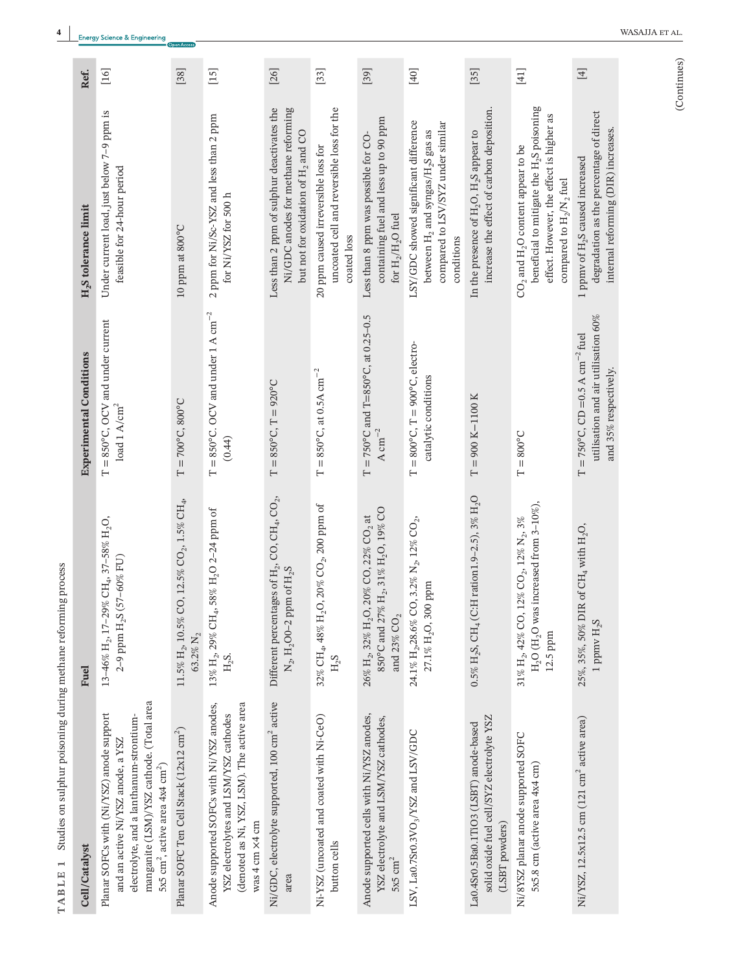| Cell/Catalyst                                                                                                                                                                                                                   | <b>Fuel</b>                                                                                                                                                    | <b>Experimental Conditions</b>                                                                                           | H <sub>2</sub> S tolerance limit                                                                                                                                                                                  | Ref.                               |
|---------------------------------------------------------------------------------------------------------------------------------------------------------------------------------------------------------------------------------|----------------------------------------------------------------------------------------------------------------------------------------------------------------|--------------------------------------------------------------------------------------------------------------------------|-------------------------------------------------------------------------------------------------------------------------------------------------------------------------------------------------------------------|------------------------------------|
| manganite (LSM)/YSZ cathode. (Total area<br>Planar SOFCs with (Ni/YSZ) anode support<br>electrolyte, and a lanthanum-strontium-<br>and an active Ni/YSZ anode, a YSZ<br>5x5 cm <sup>2</sup> , active area 4x4 cm <sup>2</sup> ) | 13-46% H <sub>2</sub> , 17-29% CH <sub>4</sub> , 37-58% H <sub>2</sub> O,<br>$(57 - 60\% \text{ FU})$<br>2-9 ppm $H_2S$                                        | $T = 850^{\circ}$ C, OCV and under current<br>$\rm load~1~A/cm^2$                                                        | Under current load, just below 7-9 ppm is<br>feasible for 24-hour period                                                                                                                                          | $[16]$                             |
| Planar SOFC Ten Cell Stack (12x12 cm <sup>2</sup> )                                                                                                                                                                             | $11.5\%~\mathrm{H}_2$ , $10.5\%$ CO, $12.5\%$ CO <sub>2</sub> , $1.5\%$ CH <sub>4</sub> ,<br>63.2% N <sub>2</sub>                                              | $T = 700^{\circ}$ C, 800°C                                                                                               | 10 ppm at 800°C                                                                                                                                                                                                   | $[38]$                             |
| (denoted as Ni, YSZ, LSM). The active area<br>Anode supported SOFCs with Ni/YSZ anodes,<br>YSZ electrolytes and LSM/YSZ cathodes<br>was 4 cm ×4 cm                                                                              | 58% H <sub>2</sub> O 2-24 ppm of<br>13% $\rm H_2$ , 29% CH <sub>4</sub> ,<br>$H_2S.$                                                                           | $T = 850^{\circ}$ C. OCV and under 1 A cm <sup>-2</sup><br>(0.44)                                                        | 2 ppm for Ni/Sc-YSZ and less than 2 ppm<br>for Ni/YSZ for 500 h                                                                                                                                                   | $\begin{bmatrix} 15 \end{bmatrix}$ |
| Ni/GDC, electrolyte supported, 100 cm <sup>2</sup> active<br>area                                                                                                                                                               | Different percentages of $\mathrm{H}_2$ , CO, CH <sub>4</sub> , CO <sub>2</sub> ,<br>$N_2$ , H <sub>2</sub> O0-2 ppm of H <sub>2</sub> S                       | $T = 850^{\circ}$ C, $T = 920^{\circ}$ C                                                                                 | Less than 2 ppm of sulphur deactivates the<br>Ni/GDC anodes for methane reforming<br>but not for oxidation of H <sub>2</sub> and CO                                                                               | $[26]$                             |
| Ni-YSZ (uncoated and coated with Ni-CeO)<br>button cells                                                                                                                                                                        | 32% CH <sub>4</sub> , 48% H <sub>2</sub> O, 20% CO <sub>2</sub> , 200 ppm of<br>$H_2S$                                                                         | $T = 850^{\circ}$ C, at 0.5A cm <sup>-2</sup>                                                                            | uncoated cell and reversible loss for the<br>20 ppm caused irreversible loss for<br>coated loss                                                                                                                   | $[33]$                             |
| Anode supported cells with Ni/YSZ anodes,<br>YSZ electrolyte and LSM/YSZ cathodes,<br>$5x5$ $\mathrm{cm}^2$                                                                                                                     | 850°C and 27% H <sub>2</sub> , 31% H <sub>2</sub> O, 19% CO<br>26% H <sub>2</sub> , 32% H <sub>2</sub> O, 20% CO, 22% CO <sub>2</sub> at<br>and 23% $\rm CO_2$ | $T = 750^{\circ}$ C and $T = 850^{\circ}$ C, at 0.25-0.5<br>A cm <sup><math>-2</math></sup>                              | containing fuel and less up to 90 ppm<br>Less than 8 ppm was possible for CO-<br>for $\rm H_2/H_2O$ fuel                                                                                                          | $[39]$                             |
| LSV, La0.7Sr0.3VO <sub>3</sub> /YSZ and LSV/GDC                                                                                                                                                                                 | $24.1\%~\mathrm{H}_2$ ,28.6% CO, 3.2% $\mathrm{N}_2$ , 12% CO $_2$ ,<br>27.1% H <sub>2</sub> O, 300 ppm                                                        | $T = 800^{\circ}$ C, $T = 900^{\circ}$ C, electro-<br>catalytic conditions                                               | LSY/GDC showed significant difference<br>compared to LSV/SYZ under similar<br>between H <sub>2</sub> and syngas/H <sub>2</sub> S gas as<br>conditions                                                             | $[40]$                             |
| solid oxide fuel cell/SYZ electrolyte YSZ<br>La0.4Sr0.5Ba0.1TiO3 (LSBT) anode-based<br>(LSBT powders)                                                                                                                           | $0.5\%$ H <sub>2</sub> S, CH <sub>4</sub> (C:H ration1.9-2.5), 3% H <sub>2</sub> O                                                                             | $T = 900 K - 1100 K$                                                                                                     | increase the effect of carbon deposition.<br>In the presence of H <sub>2</sub> O, H <sub>2</sub> S appear to                                                                                                      | $[35]$                             |
| Ni/8YSZ planar anode supported SOFC<br>5x5.8 cm (active area 4x4 cm)                                                                                                                                                            | H <sub>2</sub> O (H <sub>2</sub> O was increased from $3-10\%$ ),<br>$12\%$ CO $_2$ $12\%$ $\mathrm{N}_2$ $3\%$<br>$31\%~\mathrm{H}_2$ , 42% CO,<br>$12.5$ ppm | $T = 800^{\circ}$ C                                                                                                      | beneficial to mitigate the H <sub>2</sub> S poisoning<br>effect. However, the effect is higher as<br>CO <sub>2</sub> and H <sub>2</sub> O content appear to be<br>compared to H <sub>2</sub> /N <sub>2</sub> fuel | $[41]$                             |
| Ni/YSZ, 12.5x12.5 cm (121 cm <sup>2</sup> active area)                                                                                                                                                                          | $R$ of $CH_4$ with $H_2O$ ,<br>25%, 35%, 50% DI<br>1 ppmv H <sub>2</sub> S                                                                                     | utilisation and air utilisation $60\%$<br>$T = 750^{\circ}$ C, CD = 0.5 A cm <sup>-2</sup> fuel<br>and 35% respectively. | degradation as the percentage of direct<br>internal reforming (DIR) increases.<br>1 ppmv of H <sub>2</sub> S caused increased                                                                                     | $\boxed{4}$                        |

TABLE 1 Studies on sulphur poisoning during methane reforming process **TABLE 1** Studies on sulphur poisoning during methane reforming process

(Continues) (Continues)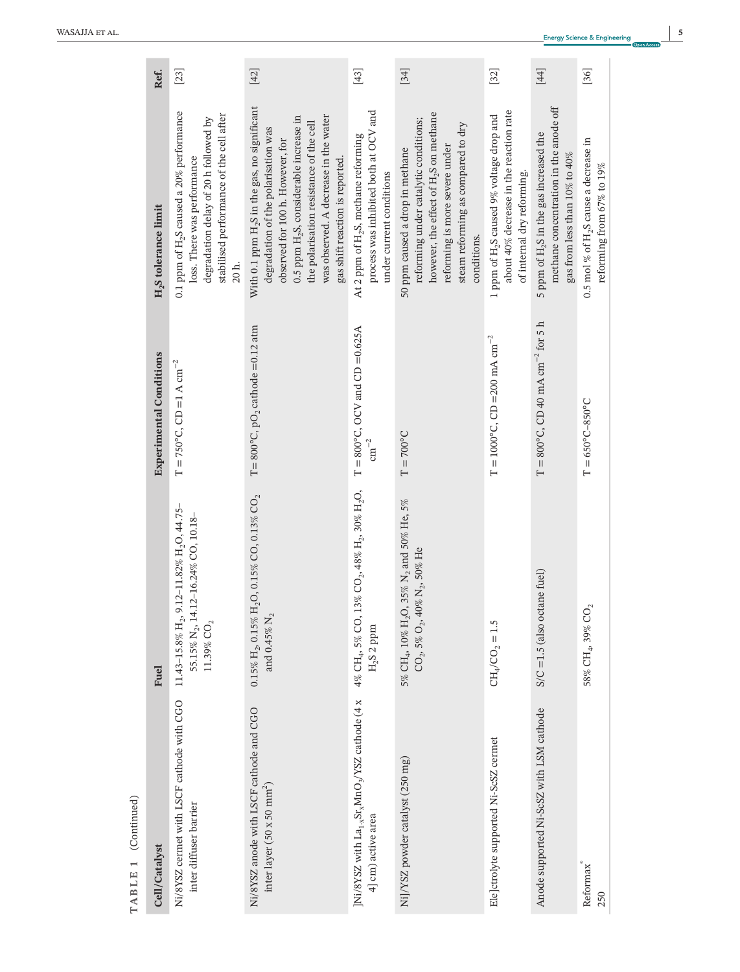| Cell/Catalyst                                                                                            | <b>Fuel</b>                                                                                                                                           | <b>Experimental Conditions</b>                         | $H_2$ S tolerance limit                                                                                                                                                                                                                                                                                          | Ref.   |
|----------------------------------------------------------------------------------------------------------|-------------------------------------------------------------------------------------------------------------------------------------------------------|--------------------------------------------------------|------------------------------------------------------------------------------------------------------------------------------------------------------------------------------------------------------------------------------------------------------------------------------------------------------------------|--------|
| Ni/8YSZ cermet with LSCF cathode with CGO<br>inter diffuser barrier                                      | 9.12-11.82% H <sub>2</sub> O, 44.75-<br>55.15% N <sub>2</sub> , 14.12-16.24% CO, 10.18-<br>$11.43\mbox{--}15.8\%$ $\rm H_{2}$<br>$11.39\%$ $\rm CO_2$ | $T = 750^{\circ}$ C, CD = 1 A cm <sup>-2</sup>         | 0.1 ppm of H <sub>2</sub> S caused a 20% performance<br>stabilised performance of the cell after<br>degradation delay of 20 h followed by<br>loss. There was performance<br>20 h.                                                                                                                                | $[23]$ |
| Ni/8YSZ anode with LSCF cathode and CGO<br>inter layer (50 x 50 $mm2$ )                                  | $0.15\%~\mathrm{H}_2, 0.15\%~\mathrm{H}_2\mathrm{O}, 0.15\%$ CO, $0.13\%$ CO $_2$<br>and 0.45% $\mathrm{N}_2$                                         | T= $800^{\circ}$ C, pO <sub>2</sub> cathode =0.12 atm  | With 0.1 ppm H <sub>2</sub> S in the gas, no significant<br>was observed. A decrease in the water<br>0.5 ppm H <sub>2</sub> S, considerable increase in<br>the polarisation resistance of the cell<br>degradation of the polarisation was<br>observed for 100 h. However, for<br>gas shift reaction is reported. | $[42]$ |
| ]Ni/8YSZ with La <sub>1-x</sub> Sr <sub>x</sub> MnO <sub>3</sub> /YSZ cathode (4 x<br>4] cm) active area | $13\%$ CO <sub>2</sub> , $48\%$ H <sub>2</sub> , $30\%$ H <sub>2</sub> O,<br>4% CH <sub>4</sub> , 5% CO,<br>$H_2S_2$ ppm                              | $T = 800^{\circ}$ C, OCV and CD = 0.625A<br>$cm^{-2}$  | process was inhibited both at OCV and<br>At 2 ppm of H <sub>2</sub> S, methane reforming<br>under current conditions                                                                                                                                                                                             | $[43]$ |
| Ni]/YSZ powder catalyst (250 mg)                                                                         | 5% CH <sub>4</sub> , 10% H <sub>2</sub> O, 35% N <sub>2</sub> and 50% He, 5%<br>CO <sub>2</sub> , 5% O <sub>2</sub> , 40% N <sub>2</sub> , 50% He     | $T = 700^{\circ}C$                                     | however, the effect of H <sub>2</sub> S on methane<br>reforming under catalytic conditions;<br>steam reforming as compared to dry<br>reforming is more severe under<br>50 ppm caused a drop in methane<br>conditions.                                                                                            | $[34]$ |
| Ele]ctrolyte supported Ni-ScSZ cermet                                                                    | $CH_4/CO_2 = 1.5$                                                                                                                                     | $T = 1000^{\circ}$ C, CD = 200 mA cm <sup>-2</sup>     | about 40% decrease in the reaction rate<br>1 ppm of H <sub>2</sub> S caused 9% voltage drop and<br>of internal dry reforming.                                                                                                                                                                                    | $[32]$ |
| Anode supported Ni-ScSZ with LSM cathode                                                                 | $S/C = 1.5$ (also octane fuel)                                                                                                                        | $T = 800^{\circ}$ C, CD 40 mA cm <sup>-2</sup> for 5 h | methane concentration in the anode off<br>5 ppm of H <sub>2</sub> S in the gas increased the<br>gas from less than 10% to 40%                                                                                                                                                                                    | $[44]$ |
| Reformax<br>250                                                                                          | $58\%$ CH <sub>4</sub> , $39\%$ CO <sub>2</sub>                                                                                                       | $T = 650^{\circ}C - 850^{\circ}C$                      | 0.5 mol % of H <sub>2</sub> S cause a decrease in<br>reforming from 67% to $19\%$                                                                                                                                                                                                                                | [36]   |
|                                                                                                          |                                                                                                                                                       |                                                        |                                                                                                                                                                                                                                                                                                                  |        |

TABLE 1 (Continued) **TABLE 1** (Continued)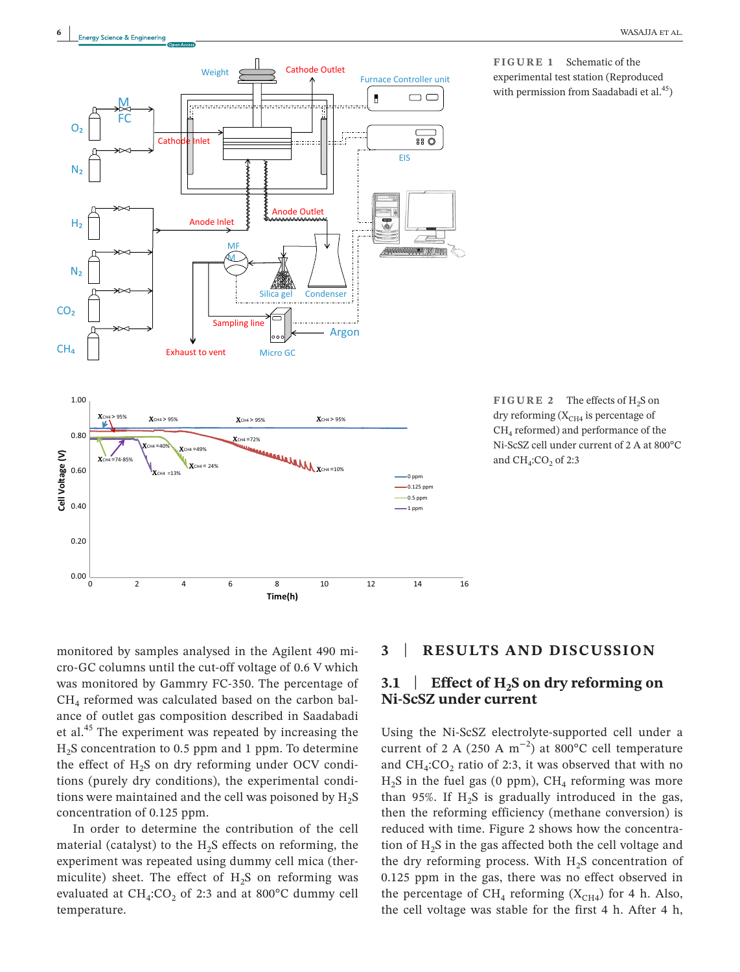

**FIGURE 1** Schematic of the experimental test station (Reproduced with permission from Saadabadi et al.<sup>45</sup>)

FIGURE 2 The effects of H<sub>2</sub>S on dry reforming  $(X<sub>CH4</sub>$  is percentage of CH4 reformed) and performance of the Ni-ScSZ cell under current of 2 A at 800°C and  $CH<sub>4</sub>:CO<sub>2</sub>$  of 2:3

monitored by samples analysed in the Agilent 490 micro-GC columns until the cut-off voltage of 0.6 V which was monitored by Gammry FC-350. The percentage of  $CH<sub>4</sub>$  reformed was calculated based on the carbon balance of outlet gas composition described in Saadabadi et al.45 The experiment was repeated by increasing the  $H<sub>2</sub>S$  concentration to 0.5 ppm and 1 ppm. To determine the effect of  $H_2S$  on dry reforming under OCV conditions (purely dry conditions), the experimental conditions were maintained and the cell was poisoned by  $H_2S$ concentration of 0.125 ppm.

In order to determine the contribution of the cell material (catalyst) to the  $H<sub>2</sub>S$  effects on reforming, the experiment was repeated using dummy cell mica (thermiculite) sheet. The effect of  $H_2S$  on reforming was evaluated at  $CH_4:CO_2$  of 2:3 and at 800°C dummy cell temperature.

# **3** | **RESULTS AND DISCUSSION**

# **3.1 Effect of H<sub>2</sub>S on dry reforming on Ni-ScSZ under current**

Using the Ni-ScSZ electrolyte-supported cell under a current of 2 A (250 A  $m^{-2}$ ) at 800°C cell temperature and  $CH_4:CO_2$  ratio of 2:3, it was observed that with no  $H_2$ S in the fuel gas (0 ppm),  $CH_4$  reforming was more than 95%. If  $H_2S$  is gradually introduced in the gas, then the reforming efficiency (methane conversion) is reduced with time. Figure 2 shows how the concentration of  $H<sub>2</sub>S$  in the gas affected both the cell voltage and the dry reforming process. With  $H_2S$  concentration of 0.125 ppm in the gas, there was no effect observed in the percentage of CH<sub>4</sub> reforming ( $X<sub>CH4</sub>$ ) for 4 h. Also, the cell voltage was stable for the first 4 h. After 4 h,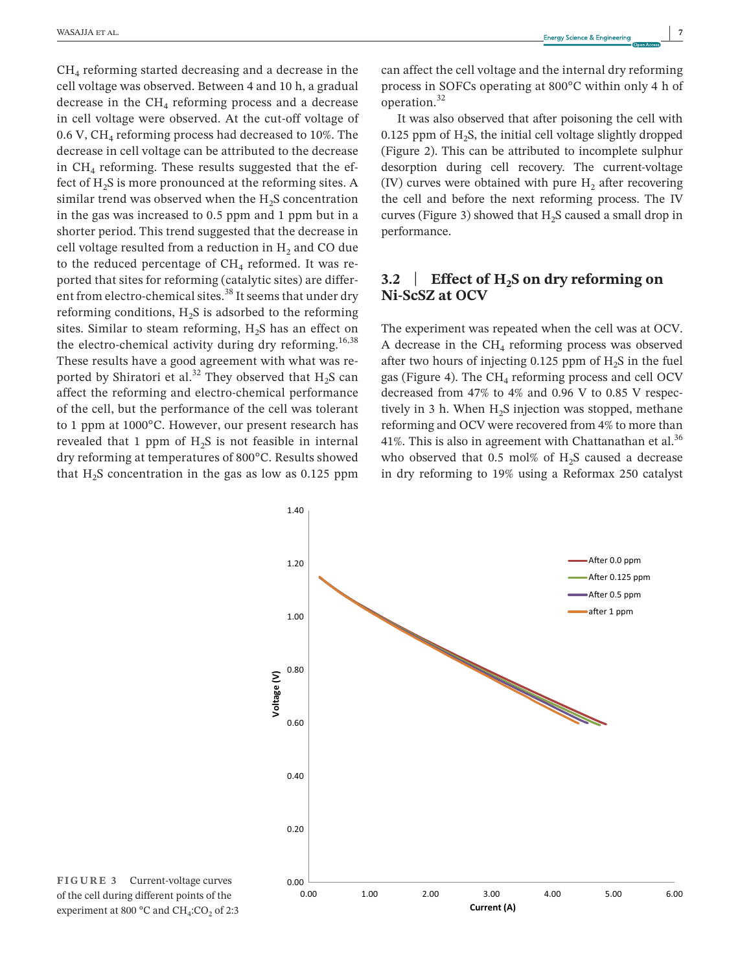$CH<sub>4</sub>$  reforming started decreasing and a decrease in the cell voltage was observed. Between 4 and 10 h, a gradual decrease in the  $CH<sub>4</sub>$  reforming process and a decrease in cell voltage were observed. At the cut-off voltage of 0.6 V,  $CH<sub>4</sub>$  reforming process had decreased to 10%. The decrease in cell voltage can be attributed to the decrease in  $CH<sub>4</sub>$  reforming. These results suggested that the effect of H<sub>2</sub>S is more pronounced at the reforming sites. A similar trend was observed when the  $H<sub>2</sub>S$  concentration in the gas was increased to 0.5 ppm and 1 ppm but in a shorter period. This trend suggested that the decrease in cell voltage resulted from a reduction in  $H<sub>2</sub>$  and CO due to the reduced percentage of  $CH<sub>4</sub>$  reformed. It was reported that sites for reforming (catalytic sites) are different from electro-chemical sites.<sup>38</sup> It seems that under dry reforming conditions,  $H_2S$  is adsorbed to the reforming sites. Similar to steam reforming,  $H<sub>2</sub>S$  has an effect on the electro-chemical activity during dry reforming.<sup>16,38</sup> These results have a good agreement with what was reported by Shiratori et al.<sup>32</sup> They observed that  $H_2S$  can affect the reforming and electro-chemical performance of the cell, but the performance of the cell was tolerant to 1 ppm at 1000°C. However, our present research has revealed that 1 ppm of  $H_2S$  is not feasible in internal dry reforming at temperatures of 800°C. Results showed that  $H_2S$  concentration in the gas as low as 0.125 ppm

can affect the cell voltage and the internal dry reforming process in SOFCs operating at 800°C within only 4 h of operation.<sup>32</sup>

It was also observed that after poisoning the cell with 0.125 ppm of  $H_2S$ , the initial cell voltage slightly dropped (Figure 2). This can be attributed to incomplete sulphur desorption during cell recovery. The current-voltage (IV) curves were obtained with pure  $H<sub>2</sub>$  after recovering the cell and before the next reforming process. The IV curves (Figure 3) showed that  $H<sub>2</sub>S$  caused a small drop in performance.

# **3.2** | **Effect of H2S on dry reforming on Ni-ScSZ at OCV**

The experiment was repeated when the cell was at OCV. A decrease in the  $CH<sub>4</sub>$  reforming process was observed after two hours of injecting  $0.125$  ppm of  $H<sub>2</sub>S$  in the fuel gas (Figure 4). The  $CH<sub>4</sub>$  reforming process and cell OCV decreased from 47% to 4% and 0.96 V to 0.85 V respectively in 3 h. When  $H<sub>2</sub>S$  injection was stopped, methane reforming and OCV were recovered from 4% to more than 41%. This is also in agreement with Chattanathan et al. $36$ who observed that 0.5 mol% of  $H_2S$  caused a decrease in dry reforming to 19% using a Reformax 250 catalyst



**FIGURE 3** Current-voltage curves of the cell during different points of the experiment at 800  $^{\circ}$ C and CH<sub>4</sub>:CO<sub>2</sub> of 2:3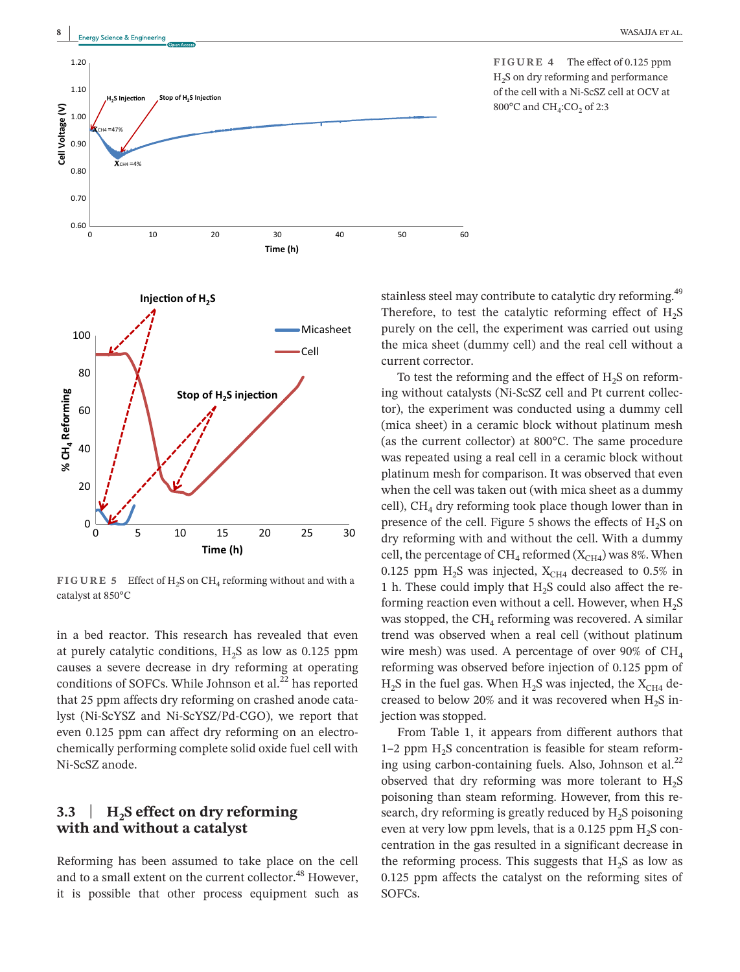



**FIGURE 5** Effect of H<sub>2</sub>S on CH<sub>4</sub> reforming without and with a catalyst at 850°C

in a bed reactor. This research has revealed that even at purely catalytic conditions,  $H_2S$  as low as 0.125 ppm causes a severe decrease in dry reforming at operating conditions of SOFCs. While Johnson et al. $^{22}$  has reported that 25 ppm affects dry reforming on crashed anode catalyst (Ni-ScYSZ and Ni-ScYSZ/Pd-CGO), we report that even 0.125 ppm can affect dry reforming on an electrochemically performing complete solid oxide fuel cell with Ni-ScSZ anode.

# **3.3** | **H2S effect on dry reforming with and without a catalyst**

Reforming has been assumed to take place on the cell and to a small extent on the current collector.<sup>48</sup> However, it is possible that other process equipment such as

**FIGURE 4** The effect of 0.125 ppm H2S on dry reforming and performance of the cell with a Ni-ScSZ cell at OCV at 800 $^{\circ}$ C and CH<sub>4</sub>:CO<sub>2</sub> of 2:3

stainless steel may contribute to catalytic dry reforming.<sup>49</sup> Therefore, to test the catalytic reforming effect of  $H_2S$ purely on the cell, the experiment was carried out using the mica sheet (dummy cell) and the real cell without a current corrector.

To test the reforming and the effect of  $H<sub>2</sub>S$  on reforming without catalysts (Ni-ScSZ cell and Pt current collector), the experiment was conducted using a dummy cell (mica sheet) in a ceramic block without platinum mesh (as the current collector) at 800°C. The same procedure was repeated using a real cell in a ceramic block without platinum mesh for comparison. It was observed that even when the cell was taken out (with mica sheet as a dummy cell),  $CH<sub>4</sub>$  dry reforming took place though lower than in presence of the cell. Figure 5 shows the effects of  $H_2S$  on dry reforming with and without the cell. With a dummy cell, the percentage of CH<sub>4</sub> reformed  $(X<sub>CH4</sub>)$  was 8%. When 0.125 ppm  $H_2S$  was injected,  $X_{CH4}$  decreased to 0.5% in 1 h. These could imply that  $H_2S$  could also affect the reforming reaction even without a cell. However, when  $H_2S$ was stopped, the  $CH<sub>4</sub>$  reforming was recovered. A similar trend was observed when a real cell (without platinum wire mesh) was used. A percentage of over 90% of  $CH<sub>4</sub>$ reforming was observed before injection of 0.125 ppm of  $H_2S$  in the fuel gas. When  $H_2S$  was injected, the  $X<sub>CH4</sub>$  decreased to below 20% and it was recovered when  $H_2S$  injection was stopped.

From Table 1, it appears from different authors that  $1-2$  ppm  $H<sub>2</sub>S$  concentration is feasible for steam reforming using carbon-containing fuels. Also, Johnson et  $al.^{22}$ observed that dry reforming was more tolerant to  $H_2S$ poisoning than steam reforming. However, from this research, dry reforming is greatly reduced by  $H_2S$  poisoning even at very low ppm levels, that is a 0.125 ppm  $H_2S$  concentration in the gas resulted in a significant decrease in the reforming process. This suggests that  $H_2S$  as low as 0.125 ppm affects the catalyst on the reforming sites of SOFCs.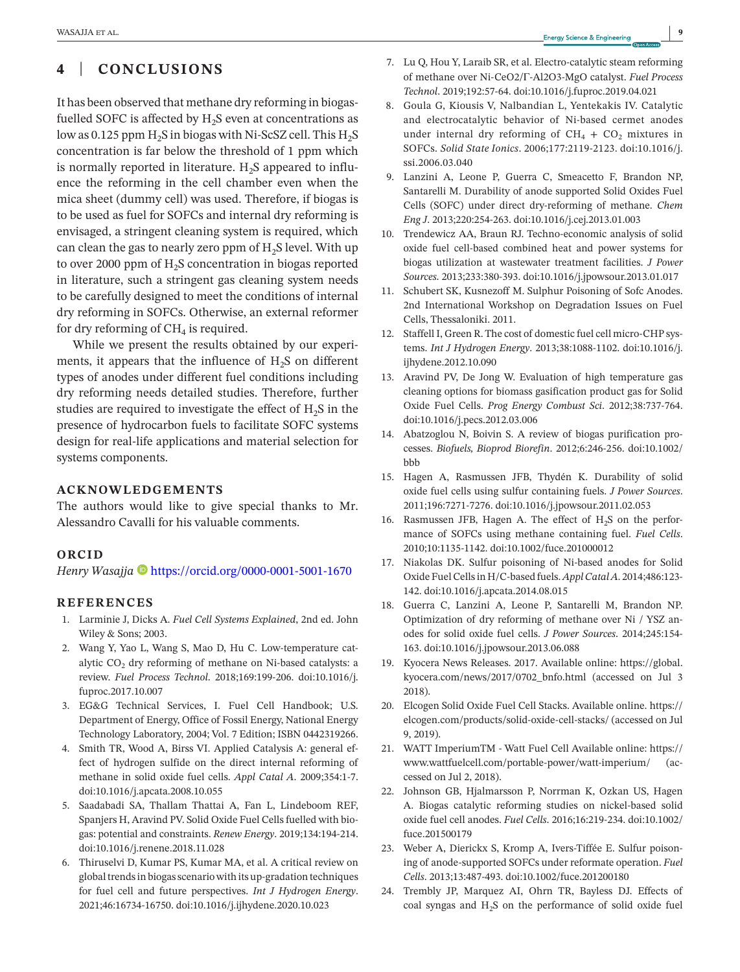# **4** | **CONCLUSIONS**

It has been observed that methane dry reforming in biogasfuelled SOFC is affected by  $H<sub>2</sub>S$  even at concentrations as low as 0.125 ppm  $H_2S$  in biogas with Ni-ScSZ cell. This  $H_2S$ concentration is far below the threshold of 1 ppm which is normally reported in literature.  $H_2S$  appeared to influence the reforming in the cell chamber even when the mica sheet (dummy cell) was used. Therefore, if biogas is to be used as fuel for SOFCs and internal dry reforming is envisaged, a stringent cleaning system is required, which can clean the gas to nearly zero ppm of  $H_2S$  level. With up to over 2000 ppm of  $H<sub>2</sub>S$  concentration in biogas reported in literature, such a stringent gas cleaning system needs to be carefully designed to meet the conditions of internal dry reforming in SOFCs. Otherwise, an external reformer for dry reforming of  $CH<sub>4</sub>$  is required.

While we present the results obtained by our experiments, it appears that the influence of  $H<sub>2</sub>S$  on different types of anodes under different fuel conditions including dry reforming needs detailed studies. Therefore, further studies are required to investigate the effect of  $H_2S$  in the presence of hydrocarbon fuels to facilitate SOFC systems design for real-life applications and material selection for systems components.

## **ACKNOWLEDGEMENTS**

The authors would like to give special thanks to Mr. Alessandro Cavalli for his valuable comments.

## **ORCID**

*Henry Wasajja* <https://orcid.org/0000-0001-5001-1670>

## **REFERENCES**

- 1. Larminie J, Dicks A. *Fuel Cell Systems Explained*, 2nd ed. John Wiley & Sons; 2003.
- 2. Wang Y, Yao L, Wang S, Mao D, Hu C. Low-temperature catalytic  $CO<sub>2</sub>$  dry reforming of methane on Ni-based catalysts: a review. *Fuel Process Technol*. 2018;169:199-206. [doi:10.1016/j.](https://doi.org/10.1016/j.fuproc.2017.10.007) [fuproc.2017.10.007](https://doi.org/10.1016/j.fuproc.2017.10.007)
- 3. EG&G Technical Services, I. Fuel Cell Handbook; U.S. Department of Energy, Office of Fossil Energy, National Energy Technology Laboratory, 2004; Vol. 7 Edition; ISBN 0442319266.
- 4. Smith TR, Wood A, Birss VI. Applied Catalysis A: general effect of hydrogen sulfide on the direct internal reforming of methane in solid oxide fuel cells. *Appl Catal A*. 2009;354:1-7. [doi:10.1016/j.apcata.2008.10.055](https://doi.org/10.1016/j.apcata.2008.10.055)
- 5. Saadabadi SA, Thallam Thattai A, Fan L, Lindeboom REF, Spanjers H, Aravind PV. Solid Oxide Fuel Cells fuelled with biogas: potential and constraints. *Renew Energy*. 2019;134:194-214. [doi:10.1016/j.renene.2018.11.028](https://doi.org/10.1016/j.renene.2018.11.028)
- 6. Thiruselvi D, Kumar PS, Kumar MA, et al. A critical review on global trends in biogas scenario with its up-gradation techniques for fuel cell and future perspectives. *Int J Hydrogen Energy*. 2021;46:16734-16750. [doi:10.1016/j.ijhydene.2020.10.023](https://doi.org/10.1016/j.ijhydene.2020.10.023)
- 7. Lu Q, Hou Y, Laraib SR, et al. Electro-catalytic steam reforming of methane over Ni-CeO2/Γ-Al2O3-MgO catalyst. *Fuel Process Technol*. 2019;192:57-64. [doi:10.1016/j.fuproc.2019.04.021](https://doi.org/10.1016/j.fuproc.2019.04.021)
- 8. Goula G, Kiousis V, Nalbandian L, Yentekakis IV. Catalytic and electrocatalytic behavior of Ni-based cermet anodes under internal dry reforming of  $CH_4 + CO_2$  mixtures in SOFCs. *Solid State Ionics*. 2006;177:2119-2123. [doi:10.1016/j.](https://doi.org/10.1016/j.ssi.2006.03.040) [ssi.2006.03.040](https://doi.org/10.1016/j.ssi.2006.03.040)
- 9. Lanzini A, Leone P, Guerra C, Smeacetto F, Brandon NP, Santarelli M. Durability of anode supported Solid Oxides Fuel Cells (SOFC) under direct dry-reforming of methane. *Chem Eng J*. 2013;220:254-263. [doi:10.1016/j.cej.2013.01.003](https://doi.org/10.1016/j.cej.2013.01.003)
- 10. Trendewicz AA, Braun RJ. Techno-economic analysis of solid oxide fuel cell-based combined heat and power systems for biogas utilization at wastewater treatment facilities. *J Power Sources*. 2013;233:380-393. [doi:10.1016/j.jpowsour.2013.01.017](https://doi.org/10.1016/j.jpowsour.2013.01.017)
- 11. Schubert SK, Kusnezoff M. Sulphur Poisoning of Sofc Anodes. 2nd International Workshop on Degradation Issues on Fuel Cells, Thessaloniki. 2011.
- 12. Staffell I, Green R. The cost of domestic fuel cell micro-CHP systems. *Int J Hydrogen Energy*. 2013;38:1088-1102. [doi:10.1016/j.](https://doi.org/10.1016/j.ijhydene.2012.10.090) [ijhydene.2012.10.090](https://doi.org/10.1016/j.ijhydene.2012.10.090)
- 13. Aravind PV, De Jong W. Evaluation of high temperature gas cleaning options for biomass gasification product gas for Solid Oxide Fuel Cells. *Prog Energy Combust Sci*. 2012;38:737-764. [doi:10.1016/j.pecs.2012.03.006](https://doi.org/10.1016/j.pecs.2012.03.006)
- 14. Abatzoglou N, Boivin S. A review of biogas purification processes. *Biofuels, Bioprod Biorefin*. 2012;6:246-256. [doi:10.1002/](https://doi.org/10.1002/bbb) [bbb](https://doi.org/10.1002/bbb)
- 15. Hagen A, Rasmussen JFB, Thydén K. Durability of solid oxide fuel cells using sulfur containing fuels. *J Power Sources*. 2011;196:7271-7276. [doi:10.1016/j.jpowsour.2011.02.053](https://doi.org/10.1016/j.jpowsour.2011.02.053)
- 16. Rasmussen JFB, Hagen A. The effect of  $H_2S$  on the performance of SOFCs using methane containing fuel. *Fuel Cells*. 2010;10:1135-1142. [doi:10.1002/fuce.201000012](https://doi.org/10.1002/fuce.201000012)
- 17. Niakolas DK. Sulfur poisoning of Ni-based anodes for Solid Oxide Fuel Cells in H/C-based fuels. *Appl Catal A*. 2014;486:123- 142. [doi:10.1016/j.apcata.2014.08.015](https://doi.org/10.1016/j.apcata.2014.08.015)
- 18. Guerra C, Lanzini A, Leone P, Santarelli M, Brandon NP. Optimization of dry reforming of methane over Ni / YSZ anodes for solid oxide fuel cells. *J Power Sources*. 2014;245:154- 163. [doi:10.1016/j.jpowsour.2013.06.088](https://doi.org/10.1016/j.jpowsour.2013.06.088)
- 19. Kyocera News Releases. 2017. Available online: [https://global.](https://global.kyocera.com/news/2017/0702_bnfo.html) [kyocera.com/news/2017/0702\\_bnfo.html](https://global.kyocera.com/news/2017/0702_bnfo.html) (accessed on Jul 3 2018).
- 20. Elcogen Solid Oxide Fuel Cell Stacks. Available online. [https://](https://elcogen.com/products/solid-oxide-cell-stacks/) [elcogen.com/products/solid-oxide-cell-stacks/](https://elcogen.com/products/solid-oxide-cell-stacks/) (accessed on Jul 9, 2019).
- 21. WATT ImperiumTM Watt Fuel Cell Available online: [https://](https://www.wattfuelcell.com/portable-power/watt-imperium/) [www.wattfuelcell.com/portable-power/watt-imperium/](https://www.wattfuelcell.com/portable-power/watt-imperium/) (accessed on Jul 2, 2018).
- 22. Johnson GB, Hjalmarsson P, Norrman K, Ozkan US, Hagen A. Biogas catalytic reforming studies on nickel-based solid oxide fuel cell anodes. *Fuel Cells*. 2016;16:219-234. [doi:10.1002/](https://doi.org/10.1002/fuce.201500179) [fuce.201500179](https://doi.org/10.1002/fuce.201500179)
- 23. Weber A, Dierickx S, Kromp A, Ivers-Tiffée E. Sulfur poisoning of anode-supported SOFCs under reformate operation. *Fuel Cells*. 2013;13:487-493. [doi:10.1002/fuce.201200180](https://doi.org/10.1002/fuce.201200180)
- 24. Trembly JP, Marquez AI, Ohrn TR, Bayless DJ. Effects of coal syngas and  $H_2S$  on the performance of solid oxide fuel